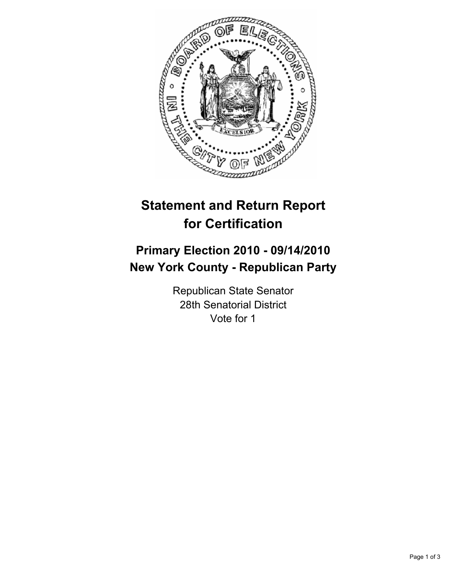

# **Statement and Return Report for Certification**

# **Primary Election 2010 - 09/14/2010 New York County - Republican Party**

Republican State Senator 28th Senatorial District Vote for 1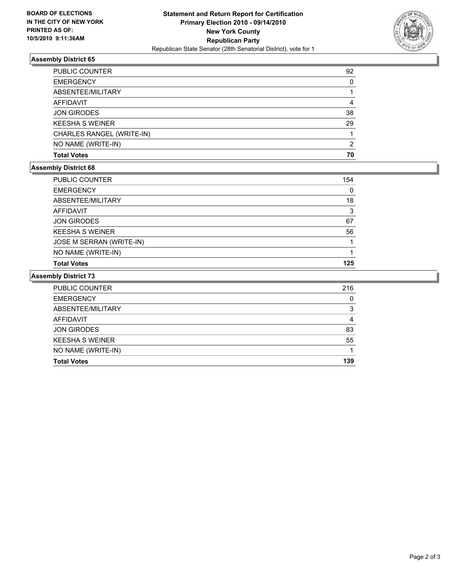

# **Assembly District 65**

| <b>PUBLIC COUNTER</b>     | 92 |
|---------------------------|----|
| <b>EMERGENCY</b>          | 0  |
| ABSENTEE/MILITARY         |    |
| AFFIDAVIT                 | 4  |
| <b>JON GIRODES</b>        | 38 |
| <b>KEESHA S WEINER</b>    | 29 |
| CHARLES RANGEL (WRITE-IN) |    |
| NO NAME (WRITE-IN)        | 2  |
| <b>Total Votes</b>        | 70 |

### **Assembly District 68**

| <b>Total Votes</b>       | 125 |
|--------------------------|-----|
| NO NAME (WRITE-IN)       |     |
| JOSE M SERRAN (WRITE-IN) |     |
| <b>KEESHA S WEINER</b>   | 56  |
| <b>JON GIRODES</b>       | 67  |
| <b>AFFIDAVIT</b>         | 3   |
| ABSENTEE/MILITARY        | 18  |
| <b>EMERGENCY</b>         | 0   |
| PUBLIC COUNTER           | 154 |

#### **Assembly District 73**

| <b>PUBLIC COUNTER</b>  | 216 |
|------------------------|-----|
| <b>EMERGENCY</b>       | 0   |
| ABSENTEE/MILITARY      | 3   |
| <b>AFFIDAVIT</b>       | 4   |
| <b>JON GIRODES</b>     | 83  |
| <b>KEESHA S WEINER</b> | 55  |
| NO NAME (WRITE-IN)     |     |
| <b>Total Votes</b>     | 139 |